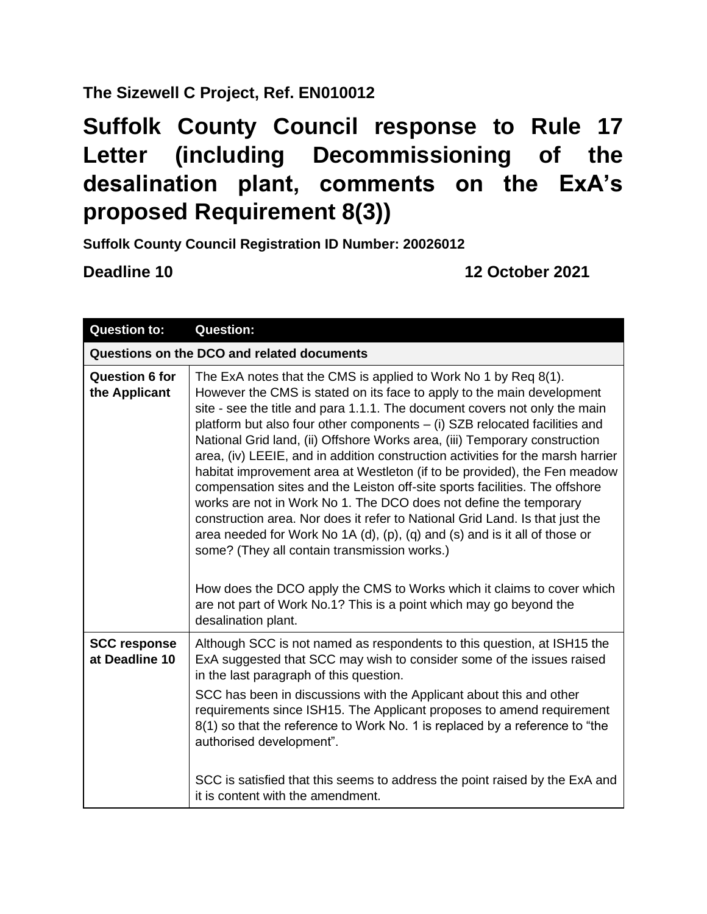## **The Sizewell C Project, Ref. EN010012**

## **Suffolk County Council response to Rule 17 Letter (including Decommissioning of the desalination plant, comments on the ExA's proposed Requirement 8(3))**

**Suffolk County Council Registration ID Number: 20026012**

**Deadline 10 12 October 2021** 

| <b>Question to:</b>                        | <b>Question:</b>                                                                                                                                                                                                                                                                                                                                                                                                                                                                                                                                                                                                                                                                                                                                                                                                                                                                                                                |  |
|--------------------------------------------|---------------------------------------------------------------------------------------------------------------------------------------------------------------------------------------------------------------------------------------------------------------------------------------------------------------------------------------------------------------------------------------------------------------------------------------------------------------------------------------------------------------------------------------------------------------------------------------------------------------------------------------------------------------------------------------------------------------------------------------------------------------------------------------------------------------------------------------------------------------------------------------------------------------------------------|--|
| Questions on the DCO and related documents |                                                                                                                                                                                                                                                                                                                                                                                                                                                                                                                                                                                                                                                                                                                                                                                                                                                                                                                                 |  |
| <b>Question 6 for</b><br>the Applicant     | The ExA notes that the CMS is applied to Work No 1 by Req 8(1).<br>However the CMS is stated on its face to apply to the main development<br>site - see the title and para 1.1.1. The document covers not only the main<br>platform but also four other components - (i) SZB relocated facilities and<br>National Grid land, (ii) Offshore Works area, (iii) Temporary construction<br>area, (iv) LEEIE, and in addition construction activities for the marsh harrier<br>habitat improvement area at Westleton (if to be provided), the Fen meadow<br>compensation sites and the Leiston off-site sports facilities. The offshore<br>works are not in Work No 1. The DCO does not define the temporary<br>construction area. Nor does it refer to National Grid Land. Is that just the<br>area needed for Work No 1A $(d)$ , $(p)$ , $(q)$ and $(s)$ and is it all of those or<br>some? (They all contain transmission works.) |  |
|                                            | How does the DCO apply the CMS to Works which it claims to cover which<br>are not part of Work No.1? This is a point which may go beyond the<br>desalination plant.                                                                                                                                                                                                                                                                                                                                                                                                                                                                                                                                                                                                                                                                                                                                                             |  |
| <b>SCC response</b><br>at Deadline 10      | Although SCC is not named as respondents to this question, at ISH15 the<br>ExA suggested that SCC may wish to consider some of the issues raised<br>in the last paragraph of this question.<br>SCC has been in discussions with the Applicant about this and other<br>requirements since ISH15. The Applicant proposes to amend requirement<br>8(1) so that the reference to Work No. 1 is replaced by a reference to "the<br>authorised development".                                                                                                                                                                                                                                                                                                                                                                                                                                                                          |  |
|                                            | SCC is satisfied that this seems to address the point raised by the ExA and<br>it is content with the amendment.                                                                                                                                                                                                                                                                                                                                                                                                                                                                                                                                                                                                                                                                                                                                                                                                                |  |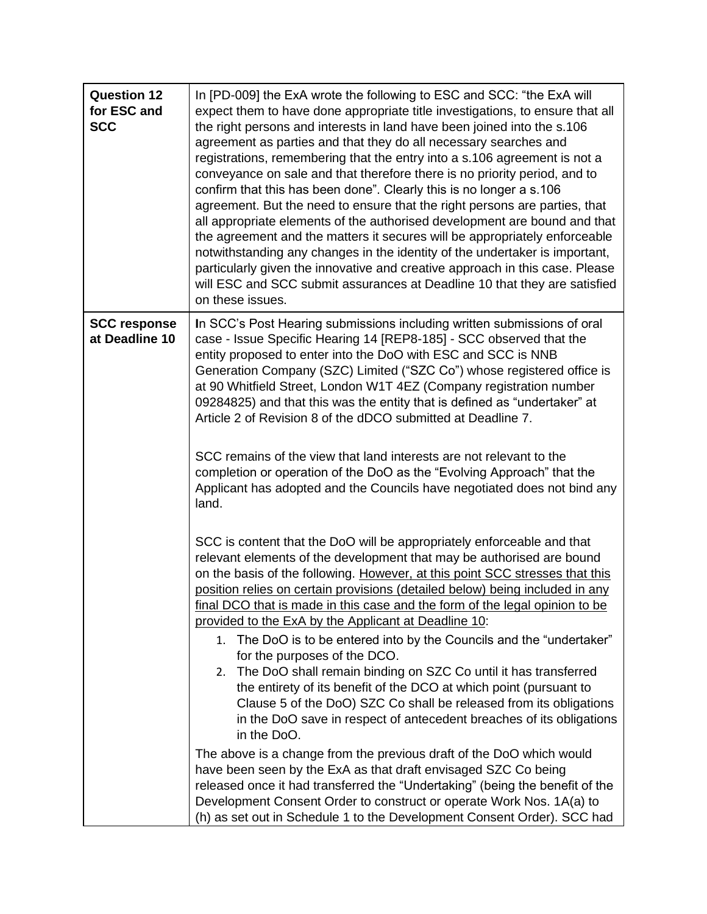| <b>Question 12</b><br>for ESC and<br><b>SCC</b> | In [PD-009] the ExA wrote the following to ESC and SCC: "the ExA will<br>expect them to have done appropriate title investigations, to ensure that all<br>the right persons and interests in land have been joined into the s.106<br>agreement as parties and that they do all necessary searches and<br>registrations, remembering that the entry into a s.106 agreement is not a<br>conveyance on sale and that therefore there is no priority period, and to<br>confirm that this has been done". Clearly this is no longer a s.106<br>agreement. But the need to ensure that the right persons are parties, that<br>all appropriate elements of the authorised development are bound and that<br>the agreement and the matters it secures will be appropriately enforceable<br>notwithstanding any changes in the identity of the undertaker is important,<br>particularly given the innovative and creative approach in this case. Please<br>will ESC and SCC submit assurances at Deadline 10 that they are satisfied<br>on these issues.                                                                                                                                                                                                       |
|-------------------------------------------------|-------------------------------------------------------------------------------------------------------------------------------------------------------------------------------------------------------------------------------------------------------------------------------------------------------------------------------------------------------------------------------------------------------------------------------------------------------------------------------------------------------------------------------------------------------------------------------------------------------------------------------------------------------------------------------------------------------------------------------------------------------------------------------------------------------------------------------------------------------------------------------------------------------------------------------------------------------------------------------------------------------------------------------------------------------------------------------------------------------------------------------------------------------------------------------------------------------------------------------------------------------|
| <b>SCC response</b><br>at Deadline 10           | In SCC's Post Hearing submissions including written submissions of oral<br>case - Issue Specific Hearing 14 [REP8-185] - SCC observed that the<br>entity proposed to enter into the DoO with ESC and SCC is NNB<br>Generation Company (SZC) Limited ("SZC Co") whose registered office is<br>at 90 Whitfield Street, London W1T 4EZ (Company registration number<br>09284825) and that this was the entity that is defined as "undertaker" at<br>Article 2 of Revision 8 of the dDCO submitted at Deadline 7.<br>SCC remains of the view that land interests are not relevant to the<br>completion or operation of the DoO as the "Evolving Approach" that the<br>Applicant has adopted and the Councils have negotiated does not bind any<br>land.                                                                                                                                                                                                                                                                                                                                                                                                                                                                                                   |
|                                                 | SCC is content that the DoO will be appropriately enforceable and that<br>relevant elements of the development that may be authorised are bound<br>on the basis of the following. However, at this point SCC stresses that this<br>position relies on certain provisions (detailed below) being included in any<br>final DCO that is made in this case and the form of the legal opinion to be<br>provided to the ExA by the Applicant at Deadline 10:<br>1. The DoO is to be entered into by the Councils and the "undertaker"<br>for the purposes of the DCO.<br>2. The DoO shall remain binding on SZC Co until it has transferred<br>the entirety of its benefit of the DCO at which point (pursuant to<br>Clause 5 of the DoO) SZC Co shall be released from its obligations<br>in the DoO save in respect of antecedent breaches of its obligations<br>in the DoO.<br>The above is a change from the previous draft of the DoO which would<br>have been seen by the ExA as that draft envisaged SZC Co being<br>released once it had transferred the "Undertaking" (being the benefit of the<br>Development Consent Order to construct or operate Work Nos. 1A(a) to<br>(h) as set out in Schedule 1 to the Development Consent Order). SCC had |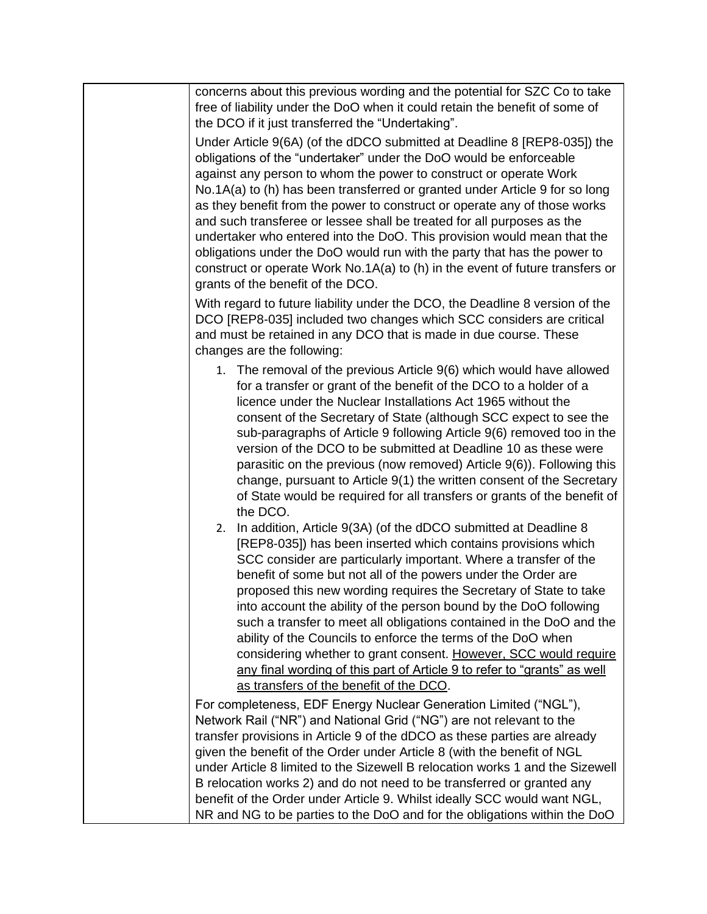| concerns about this previous wording and the potential for SZC Co to take<br>free of liability under the DoO when it could retain the benefit of some of<br>the DCO if it just transferred the "Undertaking".                                                                                                                                                                                                                                                                                                                                                                                                                                                                                                                                         |
|-------------------------------------------------------------------------------------------------------------------------------------------------------------------------------------------------------------------------------------------------------------------------------------------------------------------------------------------------------------------------------------------------------------------------------------------------------------------------------------------------------------------------------------------------------------------------------------------------------------------------------------------------------------------------------------------------------------------------------------------------------|
| Under Article 9(6A) (of the dDCO submitted at Deadline 8 [REP8-035]) the<br>obligations of the "undertaker" under the DoO would be enforceable<br>against any person to whom the power to construct or operate Work                                                                                                                                                                                                                                                                                                                                                                                                                                                                                                                                   |
| No.1A(a) to (h) has been transferred or granted under Article 9 for so long<br>as they benefit from the power to construct or operate any of those works<br>and such transferee or lessee shall be treated for all purposes as the<br>undertaker who entered into the DoO. This provision would mean that the<br>obligations under the DoO would run with the party that has the power to<br>construct or operate Work No.1A(a) to (h) in the event of future transfers or<br>grants of the benefit of the DCO.                                                                                                                                                                                                                                       |
| With regard to future liability under the DCO, the Deadline 8 version of the<br>DCO [REP8-035] included two changes which SCC considers are critical<br>and must be retained in any DCO that is made in due course. These<br>changes are the following:                                                                                                                                                                                                                                                                                                                                                                                                                                                                                               |
| 1. The removal of the previous Article 9(6) which would have allowed<br>for a transfer or grant of the benefit of the DCO to a holder of a<br>licence under the Nuclear Installations Act 1965 without the<br>consent of the Secretary of State (although SCC expect to see the<br>sub-paragraphs of Article 9 following Article 9(6) removed too in the<br>version of the DCO to be submitted at Deadline 10 as these were<br>parasitic on the previous (now removed) Article 9(6)). Following this<br>change, pursuant to Article 9(1) the written consent of the Secretary<br>of State would be required for all transfers or grants of the benefit of<br>the DCO.                                                                                 |
| 2. In addition, Article 9(3A) (of the dDCO submitted at Deadline 8<br>[REP8-035]) has been inserted which contains provisions which<br>SCC consider are particularly important. Where a transfer of the<br>benefit of some but not all of the powers under the Order are<br>proposed this new wording requires the Secretary of State to take<br>into account the ability of the person bound by the DoO following<br>such a transfer to meet all obligations contained in the DoO and the<br>ability of the Councils to enforce the terms of the DoO when<br>considering whether to grant consent. However, SCC would require<br>any final wording of this part of Article 9 to refer to "grants" as well<br>as transfers of the benefit of the DCO. |
| For completeness, EDF Energy Nuclear Generation Limited ("NGL"),<br>Network Rail ("NR") and National Grid ("NG") are not relevant to the<br>transfer provisions in Article 9 of the dDCO as these parties are already<br>given the benefit of the Order under Article 8 (with the benefit of NGL<br>under Article 8 limited to the Sizewell B relocation works 1 and the Sizewell<br>B relocation works 2) and do not need to be transferred or granted any<br>benefit of the Order under Article 9. Whilst ideally SCC would want NGL,<br>NR and NG to be parties to the DoO and for the obligations within the DoO                                                                                                                                  |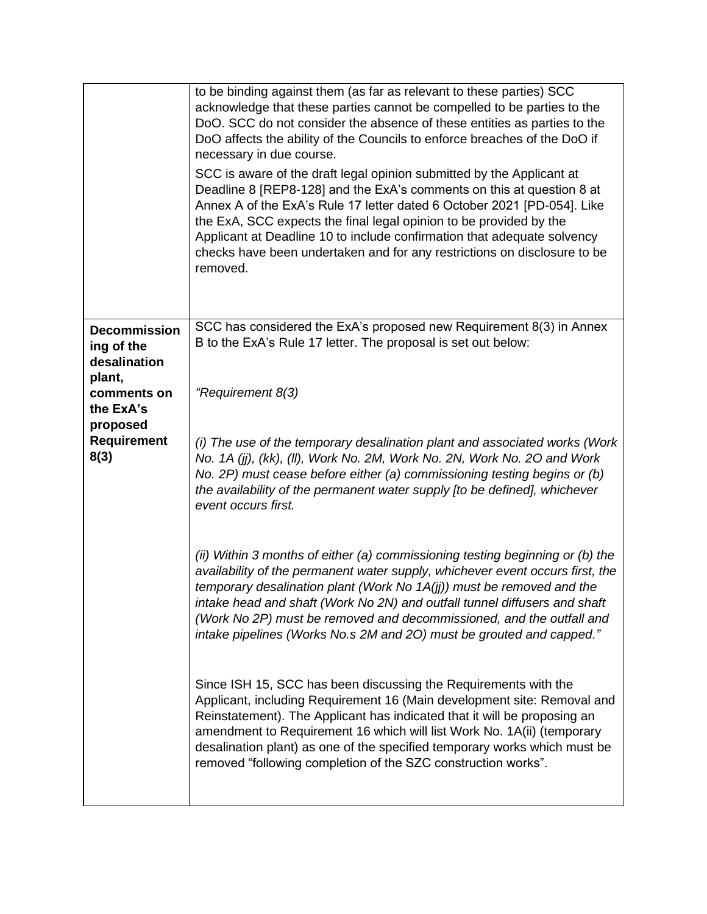|                                                             | to be binding against them (as far as relevant to these parties) SCC<br>acknowledge that these parties cannot be compelled to be parties to the<br>DoO. SCC do not consider the absence of these entities as parties to the<br>DoO affects the ability of the Councils to enforce breaches of the DoO if<br>necessary in due course.<br>SCC is aware of the draft legal opinion submitted by the Applicant at<br>Deadline 8 [REP8-128] and the ExA's comments on this at question 8 at<br>Annex A of the ExA's Rule 17 letter dated 6 October 2021 [PD-054]. Like<br>the ExA, SCC expects the final legal opinion to be provided by the<br>Applicant at Deadline 10 to include confirmation that adequate solvency<br>checks have been undertaken and for any restrictions on disclosure to be<br>removed. |
|-------------------------------------------------------------|------------------------------------------------------------------------------------------------------------------------------------------------------------------------------------------------------------------------------------------------------------------------------------------------------------------------------------------------------------------------------------------------------------------------------------------------------------------------------------------------------------------------------------------------------------------------------------------------------------------------------------------------------------------------------------------------------------------------------------------------------------------------------------------------------------|
| <b>Decommission</b><br>ing of the<br>desalination<br>plant, | SCC has considered the ExA's proposed new Requirement 8(3) in Annex<br>B to the ExA's Rule 17 letter. The proposal is set out below:                                                                                                                                                                                                                                                                                                                                                                                                                                                                                                                                                                                                                                                                       |
| comments on<br>the ExA's                                    | "Requirement 8(3)                                                                                                                                                                                                                                                                                                                                                                                                                                                                                                                                                                                                                                                                                                                                                                                          |
| proposed<br>Requirement<br>8(3)                             | (i) The use of the temporary desalination plant and associated works (Work<br>No. 1A (jj), (kk), (II), Work No. 2M, Work No. 2N, Work No. 2O and Work<br>No. 2P) must cease before either (a) commissioning testing begins or (b)<br>the availability of the permanent water supply [to be defined], whichever<br>event occurs first.                                                                                                                                                                                                                                                                                                                                                                                                                                                                      |
|                                                             | (ii) Within 3 months of either (a) commissioning testing beginning or (b) the<br>availability of the permanent water supply, whichever event occurs first, the<br>temporary desalination plant (Work No 1A(jj)) must be removed and the<br>intake head and shaft (Work No 2N) and outfall tunnel diffusers and shaft<br>(Work No 2P) must be removed and decommissioned, and the outfall and<br>intake pipelines (Works No.s 2M and 20) must be grouted and capped."                                                                                                                                                                                                                                                                                                                                       |
|                                                             | Since ISH 15, SCC has been discussing the Requirements with the<br>Applicant, including Requirement 16 (Main development site: Removal and<br>Reinstatement). The Applicant has indicated that it will be proposing an<br>amendment to Requirement 16 which will list Work No. 1A(ii) (temporary<br>desalination plant) as one of the specified temporary works which must be<br>removed "following completion of the SZC construction works".                                                                                                                                                                                                                                                                                                                                                             |